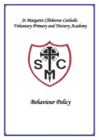*St Margaret Clitherow Catholic Voluntary Primary and Nursery Academy* 



 *Behaviour Policy*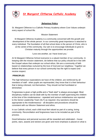

**St Margaret Clitherow Catholic Academy**



# **Behaviour Policy**

St. Margaret Clitherow is a Catholic Primary Academy where Core Values underpin every aspect of school life.

Mission Statement

St Margaret Clitherow Academy is a community concerned with the growth and development of the whole person. In our community great importance is attached to every individual. The foundation of all that school does is the person of Christ, who is at the centre of the community. Our aim is to encourage individuals to grow to Christian maturity through the opportunities we provide.

'Love one another, as I have loved you.'

At St Margaret Clitherow School everyone is a valued member of our community. In keeping with the mission statement, we believe that our policy should be in line with the Gospel values that underpin our school ethos. We are a community of faith based on relationships nurtured by the love of God and our neighbour. Together we believe that every person in our school community has the right to expect and receive respect.

# **PRINCIPLES**

The high behaviour expectations we have of the children, are reinforced by all members of staff - when pupils are reprimanded, they know that it is their behaviour that is being criticised, not themselves. They should not feel humiliated or diminished.

Forgiveness is given a high profile and a "fresh start" is always encouraged. Most disciplinary matters can be dealt with by the member of staff supervising the children at the time of the misdemeanour - repeated and serious misbehaviour are reported to the Senior Leadership Team (SLT) as required. Any sanctions should be appropriate to the misdemeanour - all discipline and procedures should be consistent with our Mission Statement and ethos.

In our Catholic school, each child must feel valued as part of a caring, loving community. Reconciliation and forgiveness have to be included as part of the process.

Good behaviour and personal success will be rewarded and celebrated – house points, stars, awards and stickers are given and more emphasis is placed on what is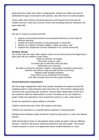good behaviour rather than what is inappropriate. Awards are public and may be celebrated through conversations with parents, and other forms of communication.

Praise rather than criticism should be generous and frequent but must also be realistic and true. Every day must be a fresh start providing that prior behaviour has been dealt with.

## **AIMS**

We aim to create an environment that:

- $\triangleright$  expects and promotes positive and purposeful behaviour as the basis for effective learning;
- $\triangleright$  enables all school members to fully participate in school life;
- $\triangleright$  reflects our Catholic Christian tradition, values and ethos; and
- $\triangleright$  respects the uniqueness of every individual in our school community;

## **SCHOOL RULES**

Our school rules are kept under regular review and are discussed at the beginning of each year with the children in each class:

Smile, be cheerful, be helpful;

Work hard, Listen in class,

Let others get on with their work and play;

Remember your manners,

Be polite to everyone: teachers, helpers, classmates, lunchtime supervisors, cleaners and visitors; Keep yourself and the school tidy;

Respect other people's property;

Treat others as you would like to be treated Look after younger ones and set a good example

## **General Behaviour Expectations**

We encourage engagement rather than simple compliance throughout school life, enabling pupils to make decisions about how they act. This involves making good decisions and cooperating with everyone. Positive adult relationships set the tone and model for effective relationships in school. All adults act as role models for pupils. Pupils are expected to move around the school in a calm, quiet manner.

Pupils are expected to speak politely to all adults.

Children should treat each other with respect at all times.

Children are expected to co-operate without arguing or answering back.

Disagreements between pupils should be solved by discussion in a calm and rational manner.

Staff should help to foster an atmosphere where pupils are able to discuss differing opinions. Teachers will discuss classroom behaviour with their pupils - this should enable everyone to come to an agreement about suitable behaviour in class.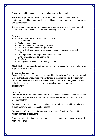Everyone should respect the general environment of the school.

For example, proper disposal of litter, correct use of toilet facilities and care of equipment should be encouraged as should keeping work areas, classrooms, stores and corridors tidy.

Our belief in positive behaviour management must be evident in the manner that staff reward good behaviour, rather than focussing on bad behaviour.

## **Rewards**

Examples of some rewards used in the school are:

- > House Points
- $\triangleright$  Stickers / stars / stamps
- $\triangleright$  Sent to another teacher with good work
- $\triangleright$  Sent to the Headteacher with good work
- $\triangleright$  Sent to the Headteacher for consistently good / improved / excellent behaviour
- $\triangleright$  Verbal praise to parent/guardian or note sent home
- $\triangleright$  Whole class rewards as appropriate
- $\triangleright$  Certificates
- $\triangleright$  Recognition in assembly or publicly in class

This list is by no means exhaustive as we are always looking for new ways to reward appropriate behaviours.

## **Behaviour for Learning**

Successful learning is a responsibility shared by all pupils, staff, parents, carers and visitors. Pupils are encouraged and challenged in their learning as they strive for excellence. All children are encouraged to be independent in the regulation of their behaviour, making good decisions and responding to their environment appropriately.

## **Sanctions**

Parents will be informed of any behaviour which causes concern. The home-school partnership is especially effective when a child knows parents and teachers are working together.

Parents are expected to support the school's approach, working with the school to ensure continuity and successful outcomes.

Parents sign a 'Home School Agreement' at the start of each Key Stage which reinforces these expectations.

Even in a well-ordered community, it may be necessary for sanctions to be applied from time to time.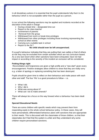In all disciplinary actions it is essential that the pupil understands fully that it is the behaviour which is not acceptable rather than the pupil as a person.

In our school the following sanctions may be applied and incidents recorded at the discretion of the adult in charge:

- $\triangleright$  During a break time designated time out
- $\triangleright$  Report to the class teacher
- $\triangleright$  Involvement of parents
- $\triangleright$  Removal from the group
- $\triangleright$  Withdrawal from lunch or break time privileges
- $\triangleright$  Withdrawal from other privileges including those involving representing the school at other events
- $\triangleright$  Carrying out a suitable task in school
- $\triangleright$  Report to the SLT

## **No child should ever be left unsupervised.**

If a pupil's behaviour indicates that they are putting their own safety or that of others at risk they may be excluded from certain activities which are not curriculum based. As a very last resort when other sanctions have been exhausted, have not had impact or according to the severity of the incident an exclusion will be considered.

## **Putting things right**

Reconciliation and forgiveness are given a high profile and a "new start" given every encouragement. Positive strategies allow children to show that they are really sorry e.g. a letter of apology or replacing something that has been destroyed.

Pupils should be given time to reflect on their behaviour and make peace with each other and staff. The four 'Ws' is a good procedure to follow – i.e.

- $\triangleright$  What I did.
- $\triangleright$  Why I did it.
- $\triangleright$  What was wrong about it?
- $\triangleright$  What can I do to make amends?

There will always be a focus on the way forward when a behaviour has been dealt with.

## **Special Educational Needs**

There are some children with specific needs which may prevent them from responding easily to the whole school behaviour policy. In these cases, they will have personalised, differentiated behaviour plans with sanctions that are appropriate to their needs. This is discussed with the classmates of those children, so that their classmates don't feel that the system is unfair and they understand why some children require personalised sanctions.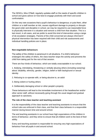The SENCo, Miss O'Neill, regularly updates staff on the needs of specific children in school and gives advice on how best to engage positively with them and avoid confrontation.

On the very rare occasions that a pupil's behaviour is dangerous; or puts them, other children or a staff member at risk; causes significant damage to property or disrupts the good order and discipline in school, we may be required to use reasonable force to physically intervene in a situation and remove a child from that situation. This is a last resort, in all cases, and we prefer to avoid this kind of intervention using a range of de-escalation strategies. Parents of the child concerned are always informed if physical intervention has been required with their child and risk assessments and individual handling policies are in place.

## **Non-negotiable behaviours**

The safety of the children is paramount in all situations. If a child's behaviour endangers the safety of others, the class teacher stops the activity and prevents the child from taking part for the rest of that session.

There are four kinds of behaviour, which are totally unacceptable in our school.

1. Bullying, intimidating, threatening or verbally abusing others (including swearing) about: disability, ethnicity, gender, religion, belief or faith background or sexual identity

- 2. Refusing to co-operate with, or being abusive to, an adult
- 3. Being violent or hurting others
- 4. Deliberately damaging school or other people's property

These behaviours will lead to the immediate involvement of the headteacher and/or other senior staff, without necessarily going through the usual staged and gradual approach to sanctions.

#### **The role of the class teacher and teaching assistant**

It is the responsibility of the class teacher and teaching assistants to ensure that the school rules are enforced in their class, and that their class behaves in a responsible manner during lesson time and around school.

The and teaching assistants in our school have high expectations of the children in terms of behaviour, and they strive to ensure that all children work to the best of their ability.

Every and teaching assistant is responsible for ensuring very high expectations of behaviour from all pupils in and around school.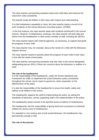The class teacher and teaching assistant treats each child fairly and enforces the classroom code consistently.

The teacher treats all children in their class with respect and understanding.

If a child misbehaves repeatedly in class, the class teacher keeps a record of all such incidents on the school electronic recording system, CPOMS.

In the first instance, the class teacher deals with incidents him/herself in the normal manner. However, if misbehaviour continues, the class teacher will seek help and advice from the headteacher or other senior member of staff, including the SENCo.

The class teacher liaises with external agencies, as necessary, to support and guide the progress of each child.

The class teacher may, for example, discuss the needs of a child with the Behaviour Support Service.

The class teacher reports to parents about the progress of each child in their class, in line with the whole-school policy.

The class teacher and teaching assistants may also refer to the school designated safeguarding person (DSL) if there are concerns about the behaviour or welfare of a child.

#### **The role of the headteacher**

It is the responsibility of the headteacher, under the School Standards and Framework Act 1998, to implement the school behaviour policy consistently throughout the school, and to report to governors, when requested, on the effectiveness of the policy.

It is also the responsibility of the headteacher to ensure the health, safety and welfare of all children in the school.

The headteacher supports the staff by implementing the policy, by setting the standards of behaviour, and by supporting staff in the implementation of the policy.

The headteacher keeps records of all reported serious incidents of misbehaviour.

The headteacher has the responsibility of giving fixed-term exclusions to individual children for serious acts of misbehaviour.

For repeated or very serious acts of anti-social behaviour, the headteacher may permanently exclude a child

#### **The role of the parents**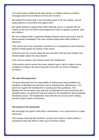The school works collaboratively with parents, so children receive consistent messages about how to behave at home and at school.

We explain the school rules in the information given to all new starters, and we expect parents to read these and support them.

We expect parents to support their child's learning, and to co-operate with the school, as set out in the home-school agreement which is signed by parents, staff and children.

We aim to always build a supportive dialogue between home and school, and we inform parents immediately if we have concerns about their child's welfare or behaviour.

If the school has to use reasonable sanctions as a consequence to poor behaviour, parents should support the actions of the school.

If parents have any concern about the way that their child has been treated, they should initially contact the class teacher.

If the concern remains, they should contact the headteacher.

If discussions cannot resolve the issues, parents have a right to lodge a formal complaint in writing to the governing body in line with our school complaints procedure.

## **The role of the governors**

The governing body has the responsibility of setting down these guidelines on standards of discipline and behaviour and of reviewing their effectiveness. The governors support the headteacher in carrying out these guidelines. The headteacher has the day-to-day authority to implement the school behaviour and discipline policy, but governors may give advice to the headteacher about particular disciplinary issues. The headteacher must take this into account when making decisions about matters of behaviour.

## **The school in the community**

We encourage our pupils to feel pride in themselves, in our school and in our wider community.

This includes behaving with kindness, courtesy and respect to others whilst on educational visits and whilst on their way to and from school.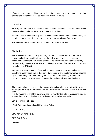If pupils are disrespectful to others whilst out on a school visit, or during an evening or weekend residential, it will be dealt with by school adults.

## **Exclusion**

St Margaret Clitherow is an inclusive school where we value all children and believe they are all entitled to experience success at our school.

Nevertheless, repeated or very serious incidents of unacceptable behaviour may, in certain circumstances, lead to a period of fixed term exclusion from school.

Extremely serious misbehaviour may lead to permanent exclusion.

## **Monitoring**

The effectiveness of this policy on a regular basis. Updates are reported to the governing body on the effectiveness of the policy and, if necessary, makes recommendations for future improvements. The policy is revisited annually every September by the whole staff. The school keeps a record of incidents of concerning misbehaviour CPOMS.

We may also keep a record of any incidents that occur at break or lunchtimes. Lunchtime supervisors give written or verbal details of any incident which, if deemed significant enough, are recorded by the class teacher or teaching assistant on CPOMS. These logs are viewed by one of the designated safeguarding leads.

The headteacher keeps a record of any pupil who is excluded for a fixed-term, or who is permanently excluded and this information is reported termly to the governing body.

It is the responsibility of the governing body to monitor the rate of exclusions, and to ensure that the school policy is administered fairly and consistently.

#### **Links to other Policies:**

OLoL Safeguarding and Child Protection Policy

OLOL IT Policy

SMC Anti-Bullying Policy

SMC RSHE Policy

**Review**